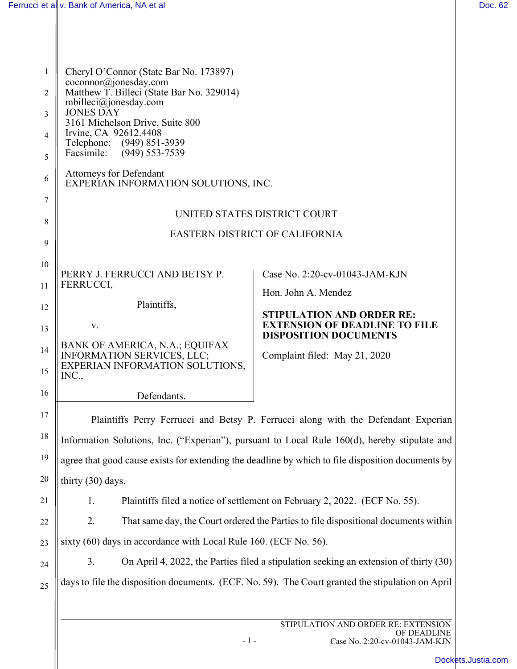| $\mathbf{1}$ | Cheryl O'Connor (State Bar No. 173897)                                                                                 |                                                                                                   |  |
|--------------|------------------------------------------------------------------------------------------------------------------------|---------------------------------------------------------------------------------------------------|--|
| 2            | coconnor@jonesday.com<br>Matthew T. Billeci (State Bar No. 329014)<br>$m$ billeci $@$ jonesday.com<br><b>JONES DAY</b> |                                                                                                   |  |
| 3            |                                                                                                                        |                                                                                                   |  |
| 4            | 3161 Michelson Drive, Suite 800<br>Irvine, CA 92612.4408<br>Telephone: (949) 851-3939                                  |                                                                                                   |  |
| 5            | Facsimile:<br>$(949)$ 553-7539                                                                                         |                                                                                                   |  |
| 6            | <b>Attorneys for Defendant</b><br>EXPERIAN INFORMATION SOLUTIONS, INC.                                                 |                                                                                                   |  |
| 7            | UNITED STATES DISTRICT COURT                                                                                           |                                                                                                   |  |
| 8            | <b>EASTERN DISTRICT OF CALIFORNIA</b>                                                                                  |                                                                                                   |  |
| 9            |                                                                                                                        |                                                                                                   |  |
| 10           | PERRY J. FERRUCCI AND BETSY P.                                                                                         | Case No. 2:20-cv-01043-JAM-KJN                                                                    |  |
| 11           | FERRUCCI,                                                                                                              | Hon. John A. Mendez                                                                               |  |
| 12           | Plaintiffs,                                                                                                            | <b>STIPULATION AND ORDER RE:</b>                                                                  |  |
| 13           | V.                                                                                                                     | <b>EXTENSION OF DEADLINE TO FILE</b><br><b>DISPOSITION DOCUMENTS</b>                              |  |
| 14           | BANK OF AMERICA, N.A.; EQUIFAX<br><b>INFORMATION SERVICES, LLC;</b>                                                    | Complaint filed: May 21, 2020                                                                     |  |
| 15           | EXPERIAN INFORMATION SOLUTIONS,<br>INC.,                                                                               |                                                                                                   |  |
| 16           | Defendants.                                                                                                            |                                                                                                   |  |
| 17           |                                                                                                                        | Plaintiffs Perry Ferrucci and Betsy P. Ferrucci along with the Defendant Experian                 |  |
| 18           | Information Solutions, Inc. ("Experian"), pursuant to Local Rule 160(d), hereby stipulate and                          |                                                                                                   |  |
| 19           | agree that good cause exists for extending the deadline by which to file disposition documents by                      |                                                                                                   |  |
| 20           | thirty (30) days.                                                                                                      |                                                                                                   |  |
| 21           | 1.                                                                                                                     | Plaintiffs filed a notice of settlement on February 2, 2022. (ECF No. 55).                        |  |
| 22           | 2.                                                                                                                     | That same day, the Court ordered the Parties to file dispositional documents within               |  |
| 23           | sixty (60) days in accordance with Local Rule 160. (ECF No. 56).                                                       |                                                                                                   |  |
| 24           | 3.<br>On April 4, 2022, the Parties filed a stipulation seeking an extension of thirty (30)                            |                                                                                                   |  |
| 25           |                                                                                                                        | days to file the disposition documents. (ECF. No. 59). The Court granted the stipulation on April |  |
|              |                                                                                                                        |                                                                                                   |  |

- 1 -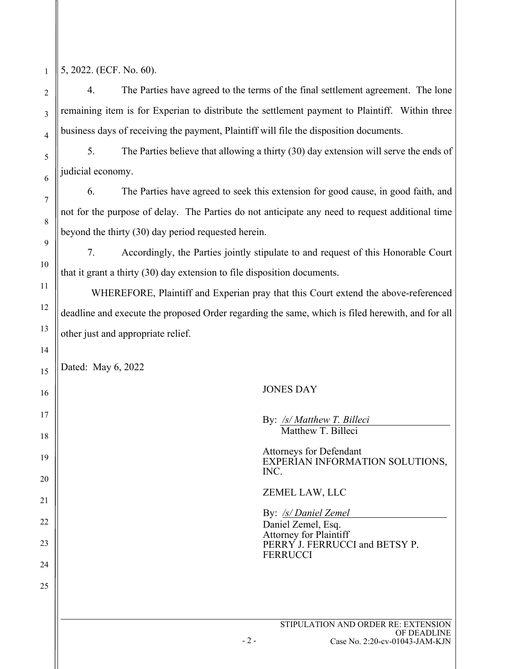1 5, 2022. (ECF. No. 60).

4. The Parties have agreed to the terms of the final settlement agreement. The lone remaining item is for Experian to distribute the settlement payment to Plaintiff. Within three business days of receiving the payment, Plaintiff will file the disposition documents.

5. The Parties believe that allowing a thirty (30) day extension will serve the ends of judicial economy.

6. The Parties have agreed to seek this extension for good cause, in good faith, and not for the purpose of delay. The Parties do not anticipate any need to request additional time beyond the thirty (30) day period requested herein.

7. Accordingly, the Parties jointly stipulate to and request of this Honorable Court that it grant a thirty (30) day extension to file disposition documents.

WHEREFORE, Plaintiff and Experian pray that this Court extend the above-referenced deadline and execute the proposed Order regarding the same, which is filed herewith, and for all other just and appropriate relief.

Dated: May 6, 2022

## JONES DAY

| By: /s/ Matthew T. Billeci<br>Matthew T. Billeci                                                                                 |
|----------------------------------------------------------------------------------------------------------------------------------|
| <b>Attorneys for Defendant</b><br>EXPERIAN INFORMATION SOLUTIONS,<br>INC.                                                        |
| ZEMEL LAW, LLC                                                                                                                   |
| By: /s/ Daniel Zemel<br>Daniel Zemel, Esq.<br><b>Attorney for Plaintiff</b><br>PERRY J. FERRUCCI and BETSY P.<br><b>FERRUCCI</b> |
|                                                                                                                                  |
| STIPULATION AND ORDER RE: EXTENSION<br>OF DEADLINE                                                                               |

 $-2-$ 

Case No. 2:20-cv-01043-JAM-KJN

2